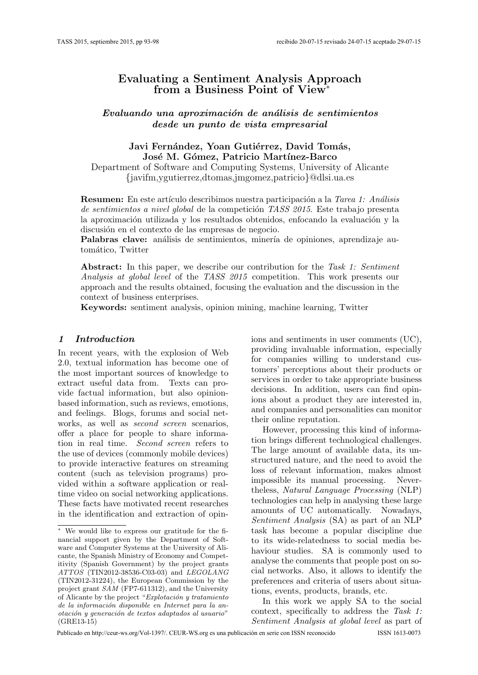# Evaluating a Sentiment Analysis Approach from a Business Point of View<sup>∗</sup>

Evaluando una aproximación de análisis de sentimientos desde un punto de vista empresarial

### Javi Fernández, Yoan Gutiérrez, David Tomás, José M. Gómez, Patricio Martínez-Barco

Department of Software and Computing Systems, University of Alicante {javifm,ygutierrez,dtomas,jmgomez,patricio}@dlsi.ua.es

**Resumen:** En este artículo describimos nuestra participación a la Tarea 1: Análisis de sentimientos a nivel global de la competición TASS 2015. Este trabajo presenta la aproximación utilizada y los resultados obtenidos, enfocando la evaluación y la discusión en el contexto de las empresas de negocio.

Palabras clave: análisis de sentimientos, minería de opiniones, aprendizaje automático, Twitter

Abstract: In this paper, we describe our contribution for the Task 1: Sentiment Analysis at global level of the TASS 2015 competition. This work presents our approach and the results obtained, focusing the evaluation and the discussion in the context of business enterprises.

Keywords: sentiment analysis, opinion mining, machine learning, Twitter

### 1 Introduction

In recent years, with the explosion of Web 2.0, textual information has become one of the most important sources of knowledge to extract useful data from. Texts can provide factual information, but also opinionbased information, such as reviews, emotions, and feelings. Blogs, forums and social networks, as well as second screen scenarios, offer a place for people to share information in real time. Second screen refers to the use of devices (commonly mobile devices) to provide interactive features on streaming content (such as television programs) provided within a software application or realtime video on social networking applications. These facts have motivated recent researches in the identification and extraction of opinions and sentiments in user comments (UC), providing invaluable information, especially for companies willing to understand customers' perceptions about their products or services in order to take appropriate business decisions. In addition, users can find opinions about a product they are interested in, and companies and personalities can monitor their online reputation.

However, processing this kind of information brings different technological challenges. The large amount of available data, its unstructured nature, and the need to avoid the loss of relevant information, makes almost impossible its manual processing. Nevertheless, Natural Language Processing (NLP) technologies can help in analysing these large amounts of UC automatically. Nowadays, Sentiment Analysis (SA) as part of an NLP task has become a popular discipline due to its wide-relatedness to social media behaviour studies. SA is commonly used to analyse the comments that people post on social networks. Also, it allows to identify the preferences and criteria of users about situations, events, products, brands, etc.

In this work we apply SA to the social context, specifically to address the Task 1: Sentiment Analysis at global level as part of

<sup>∗</sup> We would like to express our gratitude for the financial support given by the Department of Software and Computer Systems at the University of Alicante, the Spanish Ministry of Economy and Competitivity (Spanish Government) by the project grants ATTOS (TIN2012-38536-C03-03) and LEGOLANG (TIN2012-31224), the European Commission by the project grant SAM (FP7-611312), and the University of Alicante by the project " $Explotación y treatmento$ de la información disponible en Internet para la anotación y generación de textos adaptados al usuario" (GRE13-15)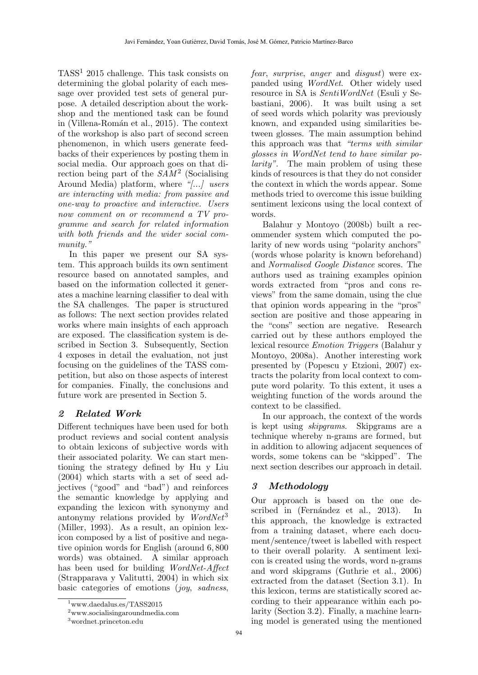TASS<sup>1</sup> 2015 challenge. This task consists on determining the global polarity of each message over provided test sets of general purpose. A detailed description about the workshop and the mentioned task can be found in (Villena-Román et al., 2015). The context of the workshop is also part of second screen phenomenon, in which users generate feedbacks of their experiences by posting them in social media. Our approach goes on that direction being part of the  $SAM^2$  (Socialising Around Media) platform, where "[...] users are interacting with media: from passive and one-way to proactive and interactive. Users now comment on or recommend a TV programme and search for related information with both friends and the wider social community."

In this paper we present our SA system. This approach builds its own sentiment resource based on annotated samples, and based on the information collected it generates a machine learning classifier to deal with the SA challenges. The paper is structured as follows: The next section provides related works where main insights of each approach are exposed. The classification system is described in Section 3. Subsequently, Section 4 exposes in detail the evaluation, not just focusing on the guidelines of the TASS competition, but also on those aspects of interest for companies. Finally, the conclusions and future work are presented in Section 5.

## 2 Related Work

Different techniques have been used for both product reviews and social content analysis to obtain lexicons of subjective words with their associated polarity. We can start mentioning the strategy defined by Hu y Liu (2004) which starts with a set of seed adjectives ("good" and "bad") and reinforces the semantic knowledge by applying and expanding the lexicon with synonymy and antonymy relations provided by  $WordNet<sup>3</sup>$ (Miller, 1993). As a result, an opinion lexicon composed by a list of positive and negative opinion words for English (around 6, 800 words) was obtained. A similar approach has been used for building WordNet-Affect (Strapparava y Valitutti, 2004) in which six basic categories of emotions (joy, sadness, fear, surprise, anger and disgust) were expanded using WordNet. Other widely used resource in SA is SentiWordNet (Esuli y Sebastiani, 2006). It was built using a set of seed words which polarity was previously known, and expanded using similarities between glosses. The main assumption behind this approach was that "terms with similar glosses in WordNet tend to have similar polarity". The main problem of using these kinds of resources is that they do not consider the context in which the words appear. Some methods tried to overcome this issue building sentiment lexicons using the local context of words.

Balahur y Montoyo (2008b) built a recommender system which computed the polarity of new words using "polarity anchors" (words whose polarity is known beforehand) and Normalised Google Distance scores. The authors used as training examples opinion words extracted from "pros and cons reviews" from the same domain, using the clue that opinion words appearing in the "pros" section are positive and those appearing in the "cons" section are negative. Research carried out by these authors employed the lexical resource Emotion Triggers (Balahur y Montoyo, 2008a). Another interesting work presented by (Popescu y Etzioni, 2007) extracts the polarity from local context to compute word polarity. To this extent, it uses a weighting function of the words around the context to be classified.

In our approach, the context of the words is kept using skipgrams. Skipgrams are a technique whereby n-grams are formed, but in addition to allowing adjacent sequences of words, some tokens can be "skipped". The next section describes our approach in detail.

# 3 Methodology

Our approach is based on the one described in (Fernández et al., 2013). In this approach, the knowledge is extracted from a training dataset, where each document/sentence/tweet is labelled with respect to their overall polarity. A sentiment lexicon is created using the words, word n-grams and word skipgrams (Guthrie et al., 2006) extracted from the dataset (Section 3.1). In this lexicon, terms are statistically scored according to their appearance within each polarity (Section 3.2). Finally, a machine learning model is generated using the mentioned

<sup>1</sup>www.daedalus.es/TASS2015

<sup>2</sup>www.socialisingaroundmedia.com

<sup>3</sup>wordnet.princeton.edu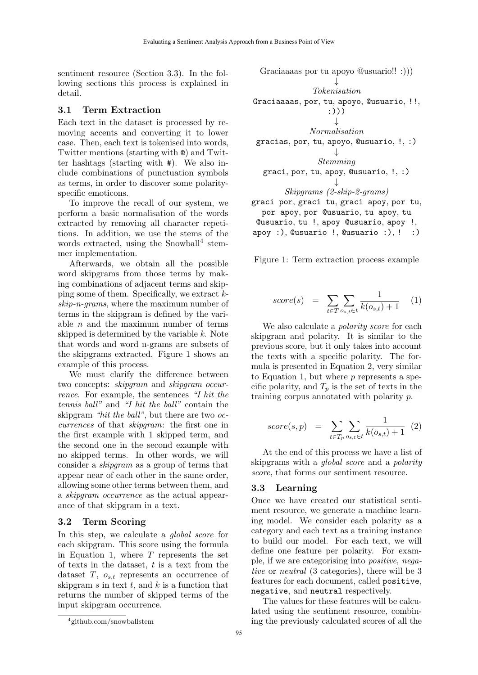sentiment resource (Section 3.3). In the following sections this process is explained in detail.

#### 3.1 Term Extraction

Each text in the dataset is processed by removing accents and converting it to lower case. Then, each text is tokenised into words, Twitter mentions (starting with @) and Twitter hashtags (starting with #). We also include combinations of punctuation symbols as terms, in order to discover some polarityspecific emoticons.

To improve the recall of our system, we perform a basic normalisation of the words extracted by removing all character repetitions. In addition, we use the stems of the words extracted, using the Snowball<sup>4</sup> stemmer implementation.

Afterwards, we obtain all the possible word skipgrams from those terms by making combinations of adjacent terms and skipping some of them. Specifically, we extract kskip-n-grams, where the maximum number of terms in the skipgram is defined by the variable  $n$  and the maximum number of terms skipped is determined by the variable k. Note that words and word n-grams are subsets of the skipgrams extracted. Figure 1 shows an example of this process.

We must clarify the difference between two concepts: skipgram and skipgram occurrence. For example, the sentences "I hit the tennis ball" and "I hit the ball" contain the skipgram "hit the ball", but there are two occurrences of that skipgram: the first one in the first example with 1 skipped term, and the second one in the second example with no skipped terms. In other words, we will consider a skipgram as a group of terms that appear near of each other in the same order, allowing some other terms between them, and a skipgram occurrence as the actual appearance of that skipgram in a text.

#### 3.2 Term Scoring

In this step, we calculate a *global score* for each skipgram. This score using the formula in Equation 1, where  $T$  represents the set of texts in the dataset,  $t$  is a text from the dataset  $T$ ,  $o_{s,t}$  represents an occurrence of skipgram  $s$  in text  $t$ , and  $k$  is a function that returns the number of skipped terms of the input skipgram occurrence.

Graciaaaas por tu apoyo @usuario!! :))) ↓ Tokenisation Graciaaaas, por, tu, apoyo, @usuario, !!, :))) ↓ Normalisation gracias, por, tu, apoyo, @usuario, !, :) ↓ Stemming graci, por, tu, apoy, @usuario, !, :) ↓ Skipgrams (2-skip-2-grams) graci por, graci tu, graci apoy, por tu, por apoy, por @usuario, tu apoy, tu

@usuario, tu !, apoy @usuario, apoy !, apoy  $:$ ), Qusuario  $!,$  Qusuario  $:$ ),  $!:$   $:)$ 

Figure 1: Term extraction process example

$$
score(s) = \sum_{t \in T} \sum_{o_{s,t} \in t} \frac{1}{k(o_{s,t}) + 1} \quad (1)
$$

We also calculate a *polarity score* for each skipgram and polarity. It is similar to the previous score, but it only takes into account the texts with a specific polarity. The formula is presented in Equation 2, very similar to Equation 1, but where  $p$  represents a specific polarity, and  $T_p$  is the set of texts in the training corpus annotated with polarity p.

$$
score(s, p) = \sum_{t \in T_p} \sum_{o_{s,t} \in t} \frac{1}{k(o_{s,t}) + 1} (2)
$$

At the end of this process we have a list of skipgrams with a global score and a polarity score, that forms our sentiment resource.

#### 3.3 Learning

Once we have created our statistical sentiment resource, we generate a machine learning model. We consider each polarity as a category and each text as a training instance to build our model. For each text, we will define one feature per polarity. For example, if we are categorising into positive, negative or neutral (3 categories), there will be 3 features for each document, called positive, negative, and neutral respectively.

The values for these features will be calculated using the sentiment resource, combining the previously calculated scores of all the

<sup>4</sup> github.com/snowballstem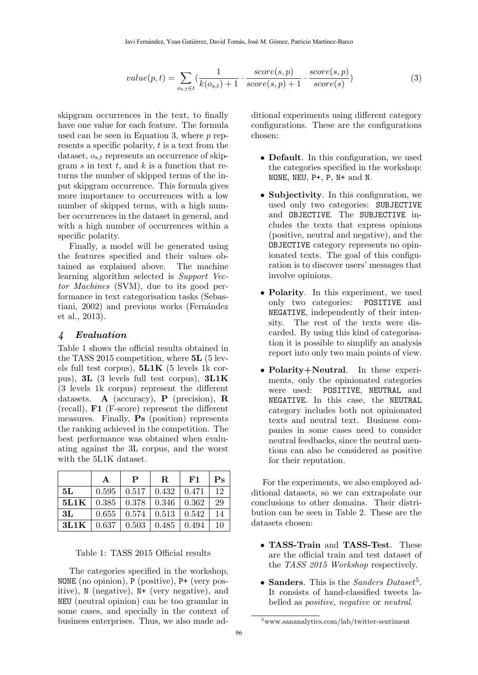$$
value(p,t) = \sum_{o_{s,t} \in t} \left( \frac{1}{k(o_{s,t}) + 1} \cdot \frac{score(s,p)}{score(s,p) + 1} \cdot \frac{score(s,p)}{score(s)} \right)
$$
(3)

skipgram occurrences in the text, to finally have one value for each feature. The formula used can be seen in Equation 3, where  $p$  represents a specific polarity, t is a text from the dataset,  $o_{s,t}$  represents an occurrence of skipgram s in text t, and  $k$  is a function that returns the number of skipped terms of the input skipgram occurrence. This formula gives more importance to occurrences with a low number of skipped terms, with a high number occurrences in the dataset in general, and with a high number of occurrences within a specific polarity.

Finally, a model will be generated using the features specified and their values obtained as explained above. The machine learning algorithm selected is Support Vector Machines (SVM), due to its good performance in text categorisation tasks (Sebastiani, 2002) and previous works (Fernández et al., 2013).

#### 4 Evaluation

Table 1 shows the official results obtained in the TASS 2015 competition, where 5L (5 levels full test corpus),  $5L1K$  (5 levels 1k corpus), 3L (3 levels full test corpus), 3L1K (3 levels 1k corpus) represent the different datasets. A (accuracy), P (precision), R (recall), F1 (F-score) represent the different measures. Finally, Ps (position) represents the ranking achieved in the competition. The best performance was obtained when evaluating against the 3L corpus, and the worst with the 5L1K dataset.

|      | А     | P     | R.    | F1    | $\mathbf{P}_{\mathbf{S}}$ |
|------|-------|-------|-------|-------|---------------------------|
| 5L   | 0.595 | 0.517 | 0.432 | 0.471 | 12                        |
| 5L1K | 0.385 | 0.378 | 0.346 | 0.362 | 29                        |
| 3L   | 0.655 | 0.574 | 0.513 | 0.542 | 14                        |
| 3L1K | 0.637 | 0.503 | 0.485 | 0.494 | 10                        |

Table 1: TASS 2015 Official results

The categories specified in the workshop, NONE (no opinion), P (positive), P+ (very positive), N (negative), N+ (very negative), and NEU (neutral opinion) can be too granular in some cases, and specially in the context of business enterprises. Thus, we also made additional experiments using different category configurations. These are the configurations chosen:

- **Default**. In this configuration, we used the categories specified in the workshop: NONE, NEU, P+, P, N+ and N.
- Subjectivity. In this configuration, we used only two categories: SUBJECTIVE and OBJECTIVE. The SUBJECTIVE includes the texts that express opinions (positive, neutral and negative), and the OBJECTIVE category represents no opinionated texts. The goal of this configuration is to discover users' messages that involve opinions.
- Polarity. In this experiment, we used only two categories: POSITIVE and NEGATIVE, independently of their intensity. The rest of the texts were discarded. By using this kind of categorisation it is possible to simplify an analysis report into only two main points of view.
- Polarity+Neutral. In these experiments, only the opinionated categories were used: POSITIVE, NEUTRAL and NEGATIVE. In this case, the NEUTRAL category includes both not opinionated texts and neutral text. Business companies in some cases need to consider neutral feedbacks, since the neutral mentions can also be considered as positive for their reputation.

For the experiments, we also employed additional datasets, so we can extrapolate our conclusions to other domains. Their distribution can be seen in Table 2. These are the datasets chosen:

- TASS-Train and TASS-Test. These are the official train and test dataset of the TASS 2015 Workshop respectively.
- Sanders. This is the Sanders Dataset<sup>5</sup>. It consists of hand-classified tweets labelled as positive, negative or neutral.

<sup>5</sup>www.sananalytics.com/lab/twitter-sentiment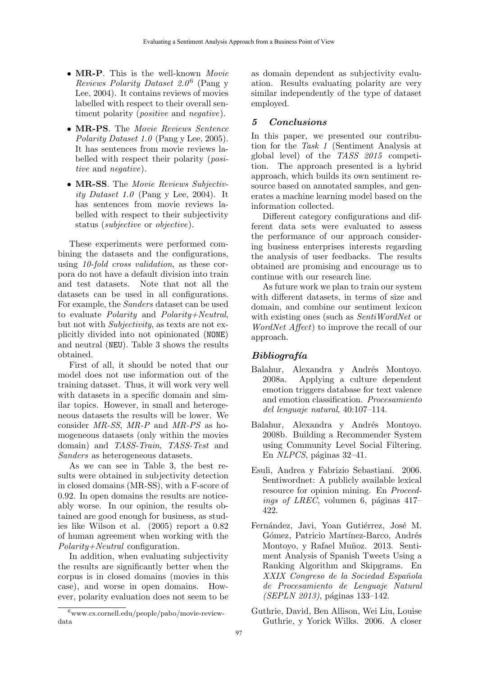- MR-P. This is the well-known Movie Reviews Polarity Dataset  $2.0^6$  (Pang y Lee, 2004). It contains reviews of movies labelled with respect to their overall sentiment polarity (*positive* and *negative*).
- MR-PS. The Movie Reviews Sentence Polarity Dataset 1.0 (Pang y Lee, 2005). It has sentences from movie reviews labelled with respect their polarity (positive and negative).
- MR-SS. The Movie Reviews Subjectivity Dataset 1.0 (Pang y Lee, 2004). It has sentences from movie reviews labelled with respect to their subjectivity status (subjective or objective).

These experiments were performed combining the datasets and the configurations, using 10-fold cross validation, as these corpora do not have a default division into train and test datasets. Note that not all the datasets can be used in all configurations. For example, the Sanders dataset can be used to evaluate Polarity and Polarity+Neutral, but not with Subjectivity, as texts are not explicitly divided into not opinionated (NONE) and neutral (NEU). Table 3 shows the results obtained.

First of all, it should be noted that our model does not use information out of the training dataset. Thus, it will work very well with datasets in a specific domain and similar topics. However, in small and heterogeneous datasets the results will be lower. We consider MR-SS, MR-P and MR-PS as homogeneous datasets (only within the movies domain) and TASS-Train, TASS-Test and Sanders as heterogeneous datasets.

As we can see in Table 3, the best results were obtained in subjectivity detection in closed domains (MR-SS), with a F-score of 0.92. In open domains the results are noticeably worse. In our opinion, the results obtained are good enough for business, as studies like Wilson et al. (2005) report a 0.82 of human agreement when working with the Polarity+Neutral configuration.

In addition, when evaluating subjectivity the results are significantly better when the corpus is in closed domains (movies in this case), and worse in open domains. However, polarity evaluation does not seem to be as domain dependent as subjectivity evaluation. Results evaluating polarity are very similar independently of the type of dataset employed.

## 5 Conclusions

In this paper, we presented our contribution for the Task 1 (Sentiment Analysis at global level) of the TASS 2015 competition. The approach presented is a hybrid approach, which builds its own sentiment resource based on annotated samples, and generates a machine learning model based on the information collected.

Different category configurations and different data sets were evaluated to assess the performance of our approach considering business enterprises interests regarding the analysis of user feedbacks. The results obtained are promising and encourage us to continue with our research line.

As future work we plan to train our system with different datasets, in terms of size and domain, and combine our sentiment lexicon with existing ones (such as SentiWordNet or WordNet Affect) to improve the recall of our approach.

## $Bibliografía$

- Balahur, Alexandra y Andrés Montoyo. 2008a. Applying a culture dependent emotion triggers database for text valence and emotion classification. Procesamiento del lenguaje natural, 40:107–114.
- Balahur, Alexandra y Andrés Montoyo. 2008b. Building a Recommender System using Community Level Social Filtering. En  $NLPCS$ , páginas 32–41.
- Esuli, Andrea y Fabrizio Sebastiani. 2006. Sentiwordnet: A publicly available lexical resource for opinion mining. En *Proceed*ings of LREC, volumen 6, páginas 417– 422.
- Fernández, Javi, Yoan Gutiérrez, José M. Gómez, Patricio Martínez-Barco, Andrés Montoyo, y Rafael Muñoz. 2013. Sentiment Analysis of Spanish Tweets Using a Ranking Algorithm and Skipgrams. En XXIX Congreso de la Sociedad Española de Procesamiento de Lenguaje Natural  $(SEPLN 2013)$ , páginas 133–142.
- Guthrie, David, Ben Allison, Wei Liu, Louise Guthrie, y Yorick Wilks. 2006. A closer

<sup>6</sup>www.cs.cornell.edu/people/pabo/movie-reviewdata